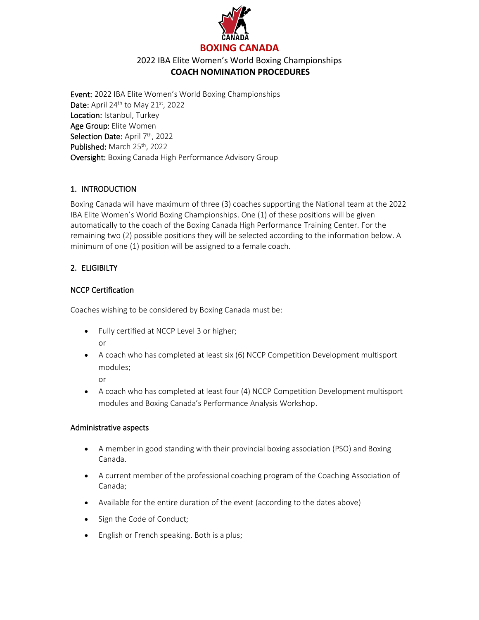

## 2022 IBA Elite Women's World Boxing Championships **COACH NOMINATION PROCEDURES**

Event: 2022 IBA Elite Women's World Boxing Championships Date: April 24<sup>th</sup> to May 21st, 2022 Location: Istanbul, Turkey Age Group: Elite Women Selection Date: April 7th, 2022 Published: March 25<sup>th</sup>, 2022 Oversight: Boxing Canada High Performance Advisory Group

## 1. INTRODUCTION

Boxing Canada will have maximum of three (3) coaches supporting the National team at the 2022 IBA Elite Women's World Boxing Championships. One (1) of these positions will be given automatically to the coach of the Boxing Canada High Performance Training Center. For the remaining two (2) possible positions they will be selected according to the information below. A minimum of one (1) position will be assigned to a female coach.

## 2. ELIGIBILTY

### NCCP Certification

Coaches wishing to be considered by Boxing Canada must be:

- Fully certified at NCCP Level 3 or higher; or
- A coach who has completed at least six (6) NCCP Competition Development multisport modules;

or

• A coach who has completed at least four (4) NCCP Competition Development multisport modules and Boxing Canada's Performance Analysis Workshop.

#### Administrative aspects

- A member in good standing with their provincial boxing association (PSO) and Boxing Canada.
- A current member of the professional coaching program of the Coaching Association of Canada;
- Available for the entire duration of the event (according to the dates above)
- Sign the Code of Conduct;
- English or French speaking. Both is a plus;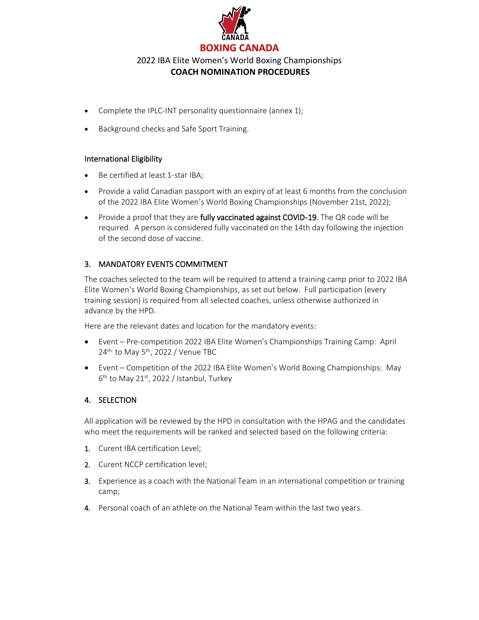

## 2022 IBA Elite Women's World Boxing Championships **COACH NOMINATION PROCEDURES**

- Complete the IPLC-INT personality questionnaire (annex 1);
- Background checks and Safe Sport Training.

### International Eligibility

- Be certified at least 1-star IBA;
- Provide a valid Canadian passport with an expiry of at least 6 months from the conclusion of the 2022 IBA Elite Women's World Boxing Championships (November 21st, 2022);
- Provide a proof that they are fully vaccinated against COVID-19. The QR code will be required. A person is considered fully vaccinated on the 14th day following the injection of the second dose of vaccine.

## 3. MANDATORY EVENTS COMMITMENT

The coaches selected to the team will be required to attend a training camp prior to 2022 IBA Elite Women's World Boxing Championships, as set out below. Full participation (every training session) is required from all selected coaches, unless otherwise authorized in advance by the HPD.

Here are the relevant dates and location for the mandatory events:

- Event Pre-competition 2022 IBA Elite Women's Championships Training Camp: April 24<sup>th</sup> to May 5<sup>th</sup>, 2022 / Venue TBC
- Event Competition of the 2022 IBA Elite Women's World Boxing Championships: May 6<sup>th</sup> to May 21<sup>st</sup>, 2022 / Istanbul, Turkey

### 4. SELECTION

All application will be reviewed by the HPD in consultation with the HPAG and the candidates who meet the requirements will be ranked and selected based on the following criteria:

- 1. Curent IBA certification Level;
- 2. Curent NCCP certification level;
- 3. Experience as a coach with the National Team in an international competition or training camp;
- 4. Personal coach of an athlete on the National Team within the last two years.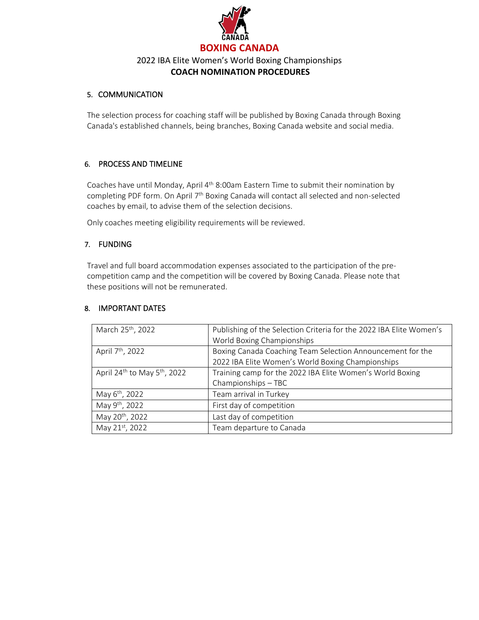

## 2022 IBA Elite Women's World Boxing Championships **COACH NOMINATION PROCEDURES**

#### 5. COMMUNICATION

The selection process for coaching staff will be published by Boxing Canada through Boxing Canada's established channels, being branches, Boxing Canada website and social media.

#### 6. PROCESS AND TIMELINE

Coaches have until Monday, April 4th 8:00am Eastern Time to submit their nomination by completing PDF form. On April 7<sup>th</sup> Boxing Canada will contact all selected and non-selected coaches by email, to advise them of the selection decisions.

Only coaches meeting eligibility requirements will be reviewed.

#### 7. FUNDING

Travel and full board accommodation expenses associated to the participation of the precompetition camp and the competition will be covered by Boxing Canada. Please note that these positions will not be remunerated.

#### 8. IMPORTANT DATES

| March 25 <sup>th</sup> , 2022                        | Publishing of the Selection Criteria for the 2022 IBA Elite Women's<br>World Boxing Championships               |
|------------------------------------------------------|-----------------------------------------------------------------------------------------------------------------|
| April 7 <sup>th</sup> , 2022                         | Boxing Canada Coaching Team Selection Announcement for the<br>2022 IBA Elite Women's World Boxing Championships |
| April 24 <sup>th</sup> to May 5 <sup>th</sup> , 2022 | Training camp for the 2022 IBA Elite Women's World Boxing<br>Championships - TBC                                |
| May 6 <sup>th</sup> , 2022                           | Team arrival in Turkey                                                                                          |
| May 9 <sup>th</sup> , 2022                           | First day of competition                                                                                        |
| May 20 <sup>th</sup> , 2022                          | Last day of competition                                                                                         |
| May 21st, 2022                                       | Team departure to Canada                                                                                        |